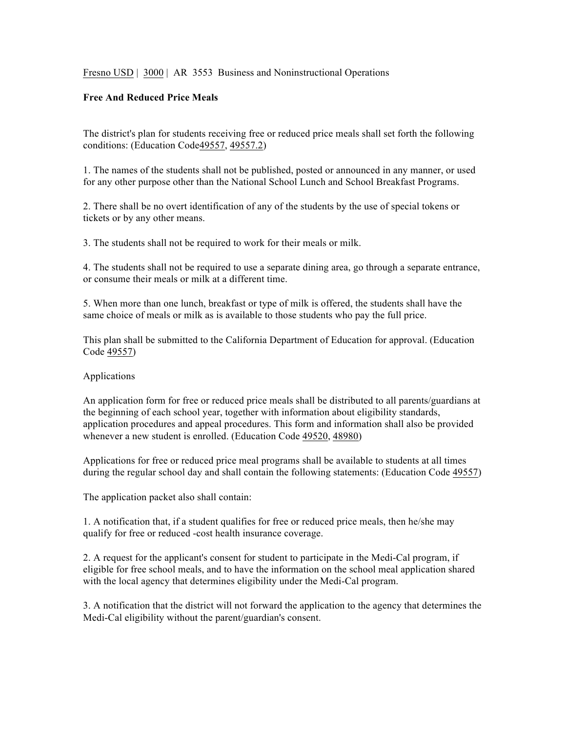Fresno USD | 3000 | AR 3553 Business and Noninstructional Operations

## **Free And Reduced Price Meals**

The district's plan for students receiving free or reduced price meals shall set forth the following conditions: (Education Code49557, 49557.2)

1. The names of the students shall not be published, posted or announced in any manner, or used for any other purpose other than the National School Lunch and School Breakfast Programs.

2. There shall be no overt identification of any of the students by the use of special tokens or tickets or by any other means.

3. The students shall not be required to work for their meals or milk.

4. The students shall not be required to use a separate dining area, go through a separate entrance, or consume their meals or milk at a different time.

5. When more than one lunch, breakfast or type of milk is offered, the students shall have the same choice of meals or milk as is available to those students who pay the full price.

This plan shall be submitted to the California Department of Education for approval. (Education Code 49557)

## Applications

An application form for free or reduced price meals shall be distributed to all parents/guardians at the beginning of each school year, together with information about eligibility standards, application procedures and appeal procedures. This form and information shall also be provided whenever a new student is enrolled. (Education Code 49520, 48980)

Applications for free or reduced price meal programs shall be available to students at all times during the regular school day and shall contain the following statements: (Education Code 49557)

The application packet also shall contain:

1. A notification that, if a student qualifies for free or reduced price meals, then he/she may qualify for free or reduced -cost health insurance coverage.

2. A request for the applicant's consent for student to participate in the Medi-Cal program, if eligible for free school meals, and to have the information on the school meal application shared with the local agency that determines eligibility under the Medi-Cal program.

3. A notification that the district will not forward the application to the agency that determines the Medi-Cal eligibility without the parent/guardian's consent.